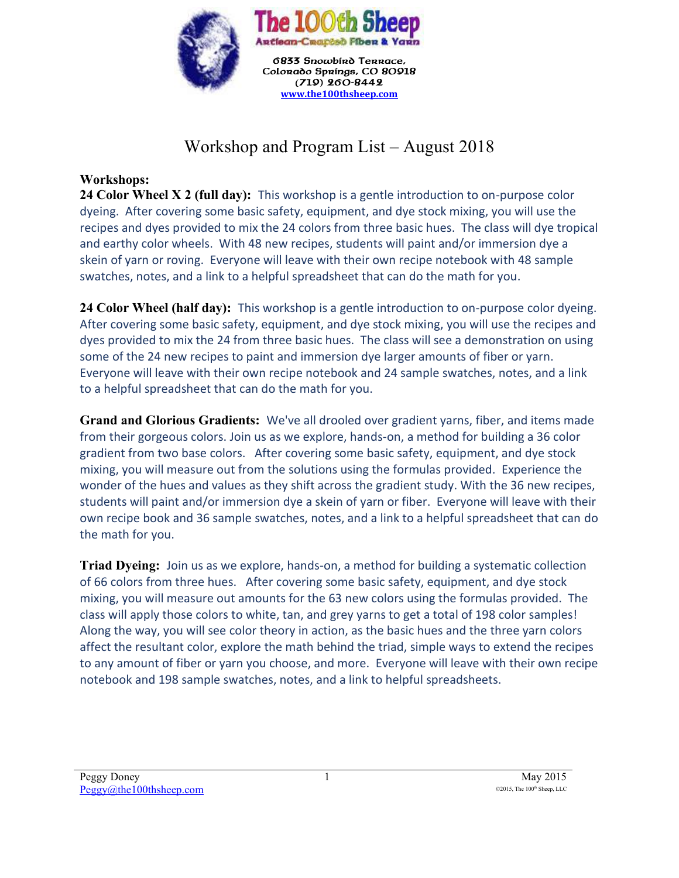

## Workshop and Program List – August 2018

## **Workshops:**

**24 Color Wheel X 2 (full day):** This workshop is a gentle introduction to on-purpose color dyeing. After covering some basic safety, equipment, and dye stock mixing, you will use the recipes and dyes provided to mix the 24 colors from three basic hues. The class will dye tropical and earthy color wheels. With 48 new recipes, students will paint and/or immersion dye a skein of yarn or roving. Everyone will leave with their own recipe notebook with 48 sample swatches, notes, and a link to a helpful spreadsheet that can do the math for you.

**24 Color Wheel (half day):** This workshop is a gentle introduction to on-purpose color dyeing. After covering some basic safety, equipment, and dye stock mixing, you will use the recipes and dyes provided to mix the 24 from three basic hues. The class will see a demonstration on using some of the 24 new recipes to paint and immersion dye larger amounts of fiber or yarn. Everyone will leave with their own recipe notebook and 24 sample swatches, notes, and a link to a helpful spreadsheet that can do the math for you.

**Grand and Glorious Gradients:** We've all drooled over gradient yarns, fiber, and items made from their gorgeous colors. Join us as we explore, hands-on, a method for building a 36 color gradient from two base colors. After covering some basic safety, equipment, and dye stock mixing, you will measure out from the solutions using the formulas provided. Experience the wonder of the hues and values as they shift across the gradient study. With the 36 new recipes, students will paint and/or immersion dye a skein of yarn or fiber. Everyone will leave with their own recipe book and 36 sample swatches, notes, and a link to a helpful spreadsheet that can do the math for you.

**Triad Dyeing:** Join us as we explore, hands-on, a method for building a systematic collection of 66 colors from three hues. After covering some basic safety, equipment, and dye stock mixing, you will measure out amounts for the 63 new colors using the formulas provided. The class will apply those colors to white, tan, and grey yarns to get a total of 198 color samples! Along the way, you will see color theory in action, as the basic hues and the three yarn colors affect the resultant color, explore the math behind the triad, simple ways to extend the recipes to any amount of fiber or yarn you choose, and more. Everyone will leave with their own recipe notebook and 198 sample swatches, notes, and a link to helpful spreadsheets.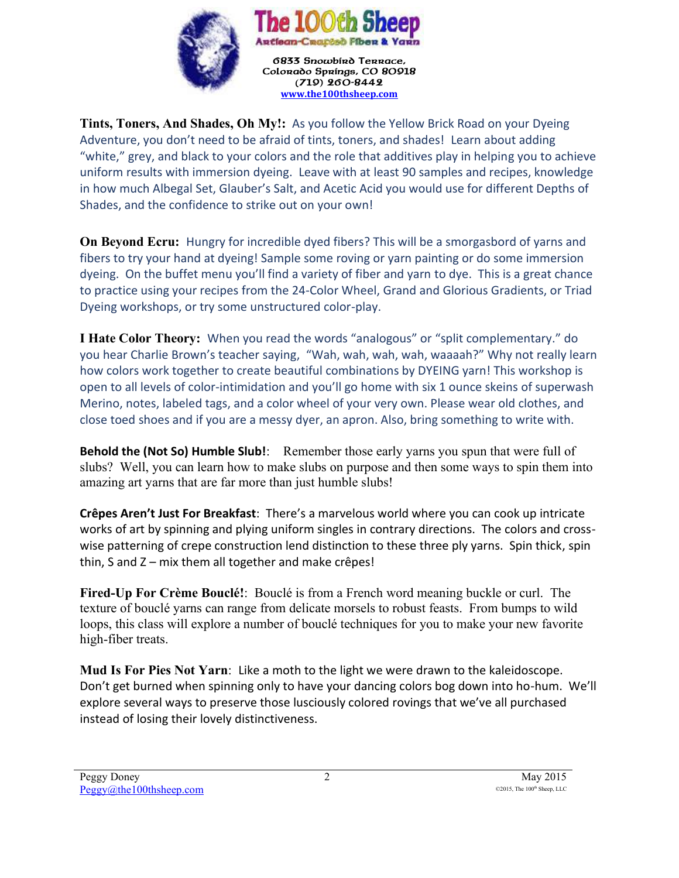

6833 Snowbird Terrace, Colorado Springs, CO 80918  $(719)$  260-8442 **[www.the100thsheep.com](http://www.the100thsheep.com/)**

**Tints, Toners, And Shades, Oh My!:** As you follow the Yellow Brick Road on your Dyeing Adventure, you don't need to be afraid of tints, toners, and shades! Learn about adding "white," grey, and black to your colors and the role that additives play in helping you to achieve uniform results with immersion dyeing. Leave with at least 90 samples and recipes, knowledge in how much Albegal Set, Glauber's Salt, and Acetic Acid you would use for different Depths of Shades, and the confidence to strike out on your own!

**On Beyond Ecru:** Hungry for incredible dyed fibers? This will be a smorgasbord of yarns and fibers to try your hand at dyeing! Sample some roving or yarn painting or do some immersion dyeing. On the buffet menu you'll find a variety of fiber and yarn to dye. This is a great chance to practice using your recipes from the 24-Color Wheel, Grand and Glorious Gradients, or Triad Dyeing workshops, or try some unstructured color-play.

**I Hate Color Theory:** When you read the words "analogous" or "split complementary." do you hear Charlie Brown's teacher saying, "Wah, wah, wah, wah, waaaah?" Why not really learn how colors work together to create beautiful combinations by DYEING yarn! This workshop is open to all levels of color-intimidation and you'll go home with six 1 ounce skeins of superwash Merino, notes, labeled tags, and a color wheel of your very own. Please wear old clothes, and close toed shoes and if you are a messy dyer, an apron. Also, bring something to write with.

**Behold the (Not So) Humble Slub!**: Remember those early yarns you spun that were full of slubs? Well, you can learn how to make slubs on purpose and then some ways to spin them into amazing art yarns that are far more than just humble slubs!

**Crêpes Aren't Just For Breakfast**: There's a marvelous world where you can cook up intricate works of art by spinning and plying uniform singles in contrary directions. The colors and crosswise patterning of crepe construction lend distinction to these three ply yarns. Spin thick, spin thin, S and Z – mix them all together and make crêpes!

**Fired-Up For Crème Bouclé!**: Bouclé is from a French word meaning buckle or curl. The texture of bouclé yarns can range from delicate morsels to robust feasts. From bumps to wild loops, this class will explore a number of bouclé techniques for you to make your new favorite high-fiber treats.

**Mud Is For Pies Not Yarn**: Like a moth to the light we were drawn to the kaleidoscope. Don't get burned when spinning only to have your dancing colors bog down into ho-hum. We'll explore several ways to preserve those lusciously colored rovings that we've all purchased instead of losing their lovely distinctiveness.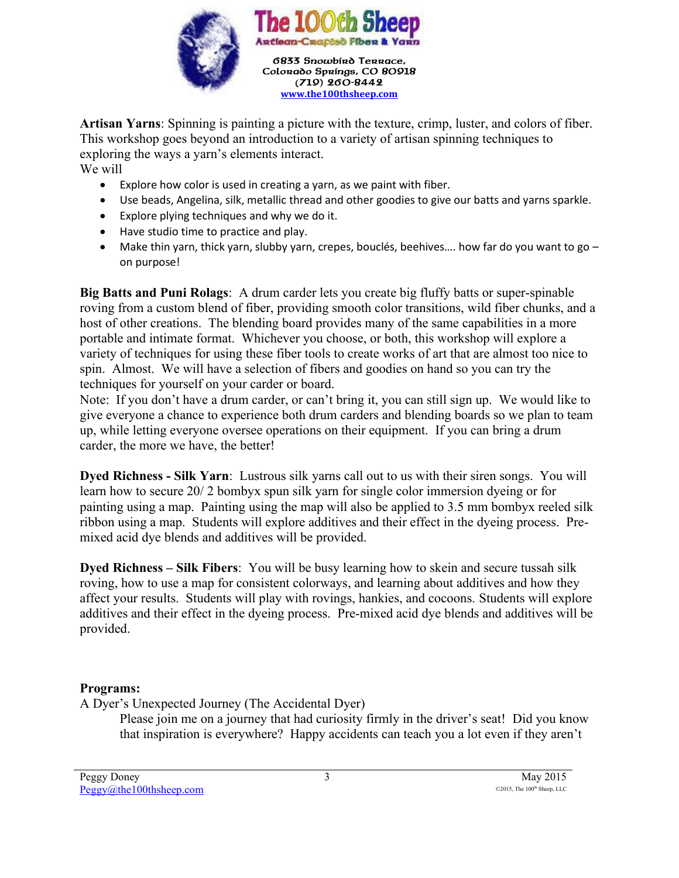

**Artisan Yarns**: Spinning is painting a picture with the texture, crimp, luster, and colors of fiber. This workshop goes beyond an introduction to a variety of artisan spinning techniques to exploring the ways a yarn's elements interact.

We will

- Explore how color is used in creating a yarn, as we paint with fiber.
- Use beads, Angelina, silk, metallic thread and other goodies to give our batts and yarns sparkle.
- Explore plying techniques and why we do it.
- Have studio time to practice and play.
- Make thin yarn, thick yarn, slubby yarn, crepes, bouclés, beehives.... how far do you want to go  $$ on purpose!

**Big Batts and Puni Rolags**: A drum carder lets you create big fluffy batts or super-spinable roving from a custom blend of fiber, providing smooth color transitions, wild fiber chunks, and a host of other creations. The blending board provides many of the same capabilities in a more portable and intimate format. Whichever you choose, or both, this workshop will explore a variety of techniques for using these fiber tools to create works of art that are almost too nice to spin. Almost. We will have a selection of fibers and goodies on hand so you can try the techniques for yourself on your carder or board.

Note: If you don't have a drum carder, or can't bring it, you can still sign up. We would like to give everyone a chance to experience both drum carders and blending boards so we plan to team up, while letting everyone oversee operations on their equipment. If you can bring a drum carder, the more we have, the better!

**Dyed Richness - Silk Yarn**: Lustrous silk yarns call out to us with their siren songs. You will learn how to secure 20/ 2 bombyx spun silk yarn for single color immersion dyeing or for painting using a map. Painting using the map will also be applied to 3.5 mm bombyx reeled silk ribbon using a map. Students will explore additives and their effect in the dyeing process. Premixed acid dye blends and additives will be provided.

**Dyed Richness – Silk Fibers**: You will be busy learning how to skein and secure tussah silk roving, how to use a map for consistent colorways, and learning about additives and how they affect your results. Students will play with rovings, hankies, and cocoons. Students will explore additives and their effect in the dyeing process. Pre-mixed acid dye blends and additives will be provided.

## **Programs:**

A Dyer's Unexpected Journey (The Accidental Dyer)

Please join me on a journey that had curiosity firmly in the driver's seat! Did you know that inspiration is everywhere? Happy accidents can teach you a lot even if they aren't